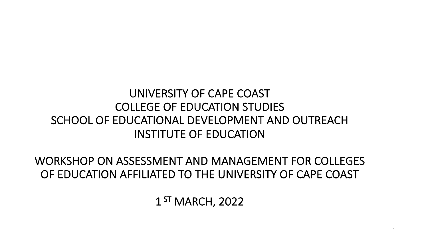#### UNIVERSITY OF CAPE COAST COLLEGE OF EDUCATION STUDIES SCHOOL OF EDUCATIONAL DEVELOPMENT AND OUTREACH INSTITUTE OF EDUCATION

WORKSHOP ON ASSESSMENT AND MANAGEMENT FOR COLLEGES OF EDUCATION AFFILIATED TO THE UNIVERSITY OF CAPE COAST

1<sup>ST</sup> MARCH, 2022

1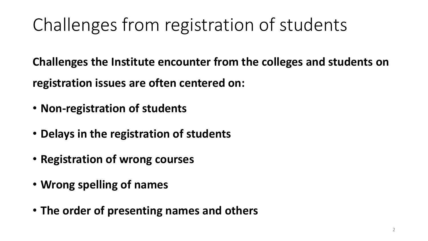# Challenges from registration of students

**Challenges the Institute encounter from the colleges and students on registration issues are often centered on:**

- **Non-registration of students**
- **Delays in the registration of students**
- **Registration of wrong courses**
- **Wrong spelling of names**
- **The order of presenting names and others**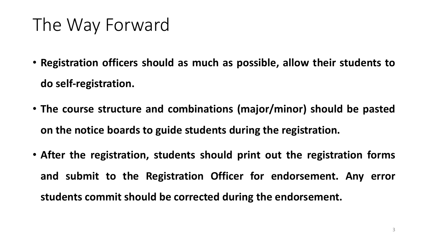## The Way Forward

- **Registration officers should as much as possible, allow their students to do self-registration.**
- **The course structure and combinations (major/minor) should be pasted on the notice boards to guide students during the registration.**
- **After the registration, students should print out the registration forms and submit to the Registration Officer for endorsement. Any error students commit should be corrected during the endorsement.**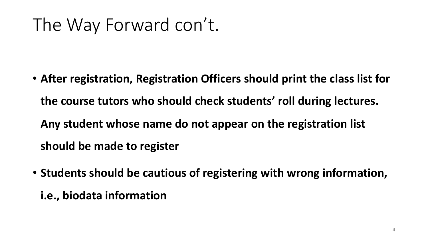## The Way Forward con't.

- **After registration, Registration Officers should print the class list for the course tutors who should check students' roll during lectures. Any student whose name do not appear on the registration list should be made to register**
- **Students should be cautious of registering with wrong information,** 
	- **i.e., biodata information**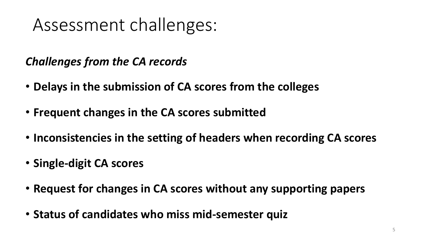## Assessment challenges:

#### *Challenges from the CA records*

- **Delays in the submission of CA scores from the colleges**
- **Frequent changes in the CA scores submitted**
- **Inconsistencies in the setting of headers when recording CA scores**
- **Single-digit CA scores**
- **Request for changes in CA scores without any supporting papers**
- **Status of candidates who miss mid-semester quiz**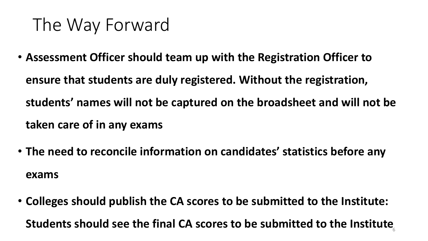## The Way Forward

- **Assessment Officer should team up with the Registration Officer to ensure that students are duly registered. Without the registration, students' names will not be captured on the broadsheet and will not be taken care of in any exams**
- **The need to reconcile information on candidates' statistics before any exams**
- **Colleges should publish the CA scores to be submitted to the Institute:**  Students should see the final CA scores to be submitted to the Institute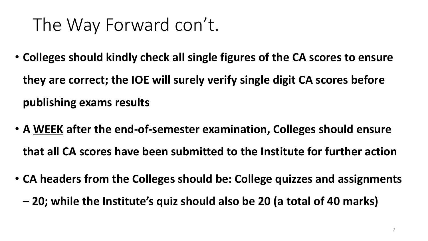## The Way Forward con't.

- **Colleges should kindly check all single figures of the CA scores to ensure they are correct; the IOE will surely verify single digit CA scores before publishing exams results**
- **A WEEK after the end-of-semester examination, Colleges should ensure that all CA scores have been submitted to the Institute for further action**
- **CA headers from the Colleges should be: College quizzes and assignments** 
	- **– 20; while the Institute's quiz should also be 20 (a total of 40 marks)**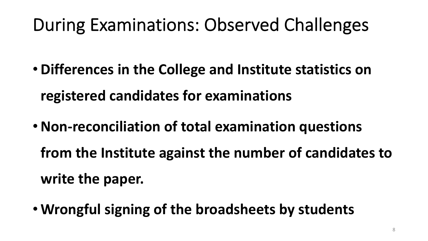# During Examinations: Observed Challenges

- **Differences in the College and Institute statistics on registered candidates for examinations**
- •**Non-reconciliation of total examination questions** 
	- **from the Institute against the number of candidates to write the paper.**
- **Wrongful signing of the broadsheets by students**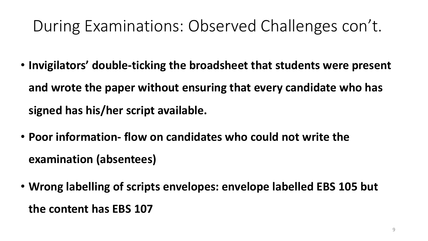#### During Examinations: Observed Challenges con't.

- **Invigilators' double-ticking the broadsheet that students were present and wrote the paper without ensuring that every candidate who has signed has his/her script available.**
- **Poor information- flow on candidates who could not write the examination (absentees)**
- **Wrong labelling of scripts envelopes: envelope labelled EBS 105 but the content has EBS 107**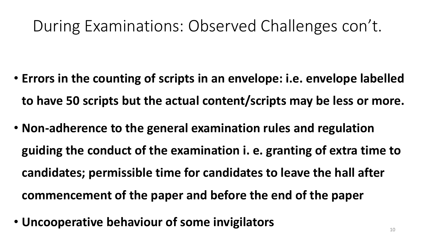#### During Examinations: Observed Challenges con't.

- **Errors in the counting of scripts in an envelope: i.e. envelope labelled to have 50 scripts but the actual content/scripts may be less or more.**
- **Non-adherence to the general examination rules and regulation guiding the conduct of the examination i. e. granting of extra time to candidates; permissible time for candidates to leave the hall after commencement of the paper and before the end of the paper**
- **Uncooperative behaviour of some invigilators** 10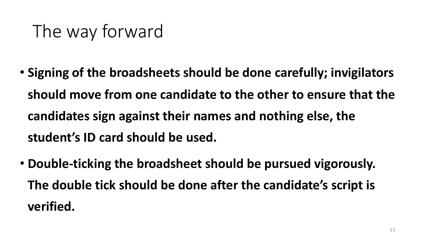# The way forward

- **Signing of the broadsheets should be done carefully; invigilators should move from one candidate to the other to ensure that the candidates sign against their names and nothing else, the student's ID card should be used.**
- **Double-ticking the broadsheet should be pursued vigorously. The double tick should be done after the candidate's script is verified.**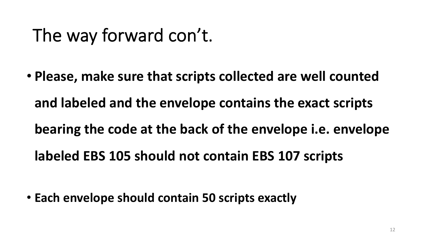## The way forward con't.

• **Please, make sure that scripts collected are well counted and labeled and the envelope contains the exact scripts bearing the code at the back of the envelope i.e. envelope labeled EBS 105 should not contain EBS 107 scripts**

• **Each envelope should contain 50 scripts exactly**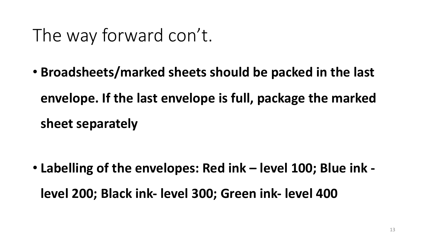## The way forward con't.

• **Broadsheets/marked sheets should be packed in the last envelope. If the last envelope is full, package the marked sheet separately**

• **Labelling of the envelopes: Red ink – level 100; Blue ink level 200; Black ink- level 300; Green ink- level 400**